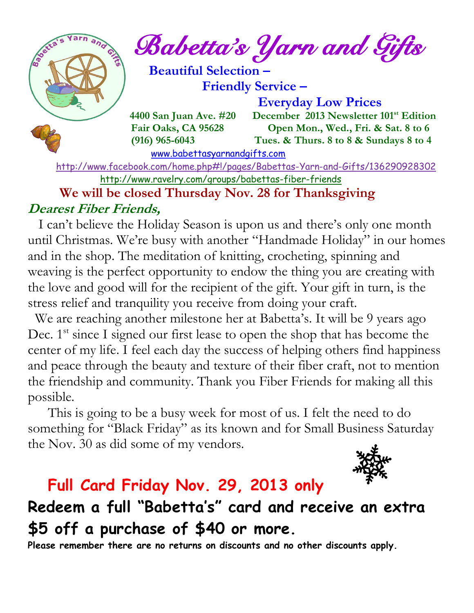$e^{\int e^{\arcsin(\pi/2-\pi/2)}}$  Babetta's Yarn and Gifts  **Beautiful Selection – Friendly Service – Everyday Low Prices 4400 San Juan Ave. #20 December 2013 Newsletter 101<sup>st</sup> Edition Fair Oaks, CA 95628 Open Mon., Wed., Fri. & Sat. 8 to 6 (916) 965-6043 Tues. & Thurs. 8 to 8 & Sundays 8 to 4**  [www.babettasyarnandgifts.com](http://www.babettasyarnandgifts.com/)

 <http://www.facebook.com/home.php#!/pages/Babettas-Yarn-and-Gifts/136290928302> <http://www.ravelry.com/groups/babettas-fiber-friends>

### **We will be closed Thursday Nov. 28 for Thanksgiving Dearest Fiber Friends,**

 I can't believe the Holiday Season is upon us and there's only one month until Christmas. We're busy with another "Handmade Holiday" in our homes and in the shop. The meditation of knitting, crocheting, spinning and weaving is the perfect opportunity to endow the thing you are creating with the love and good will for the recipient of the gift. Your gift in turn, is the stress relief and tranquility you receive from doing your craft.

We are reaching another milestone her at Babetta's. It will be 9 years ago Dec.  $1<sup>st</sup>$  since I signed our first lease to open the shop that has become the center of my life. I feel each day the success of helping others find happiness and peace through the beauty and texture of their fiber craft, not to mention the friendship and community. Thank you Fiber Friends for making all this possible.

This is going to be a busy week for most of us. I felt the need to do something for "Black Friday" as its known and for Small Business Saturday the Nov. 30 as did some of my vendors.



## **Full Card Friday Nov. 29, 2013 only**

## **Redeem a full "Babetta' s " card and receive an extra \$5 off a purchase of \$40 or more.**

**Please remember there are no returns on discounts and no other discounts apply.**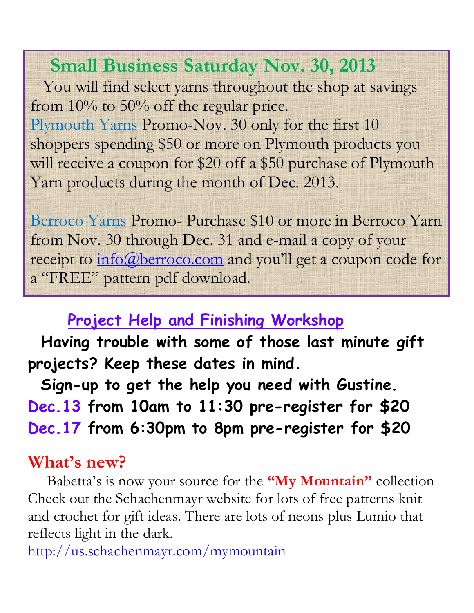# **Small Business Saturday Nov. 30, 2013**

 You will find select yarns throughout the shop at savings from 10% to 50% off the regular price. Plymouth Yarns Promo-Nov. 30 only for the first 10 shoppers spending \$50 or more on Plymouth products you will receive a coupon for \$20 off a \$50 purchase of Plymouth Yarn products during the month of Dec. 2013.

Berroco Yarns Promo- Purchase \$10 or more in Berroco Yarn from Nov. 30 through Dec. 31 and e-mail a copy of your receipt to  $\underline{\text{info}}(\overline{a})$ berroco.com and you'll get a coupon code for a "FREE" pattern pdf download.

# **Project Help and Finishing Workshop**

 **Having trouble with some of those last minute gift projects? Keep these dates in mind.**

 **Sign-up to get the help you need with Gustine. Dec.13 from 10am to 11:30 pre-register for \$20 Dec.17 from 6:30pm to 8pm pre-register for \$20**

# **What's new?**

 Babetta's is now your source for the **"My Mountain"** collection Check out the Schachenmayr website for lots of free patterns knit and crochet for gift ideas. There are lots of neons plus Lumio that reflects light in the dark.

<http://us.schachenmayr.com/mymountain>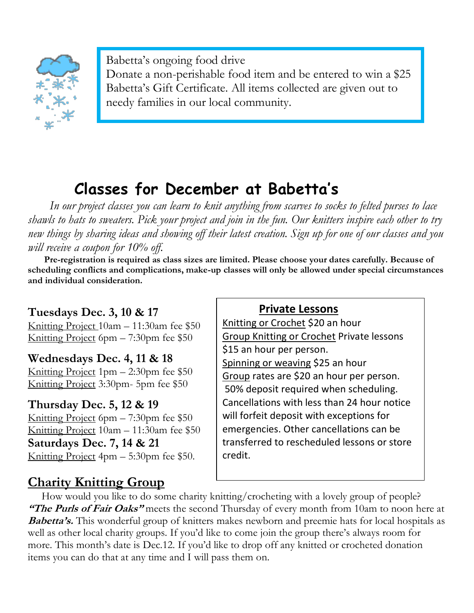

Babetta's ongoing food drive Donate a non-perishable food item and be entered to win a \$25 Babetta's Gift Certificate. All items collected are given out to needy families in our local community.

# **Classes for December at Babetta's**

 *In our project classes you can learn to knit anything from scarves to socks to felted purses to lace shawls to hats to sweaters. Pick your project and join in the fun. Our knitters inspire each other to try new things by sharing ideas and showing off their latest creation. Sign up for one of our classes and you will receive a coupon for 10% off.*

 **Pre-registration is required as class sizes are limited. Please choose your dates carefully. Because of scheduling conflicts and complications, make-up classes will only be allowed under special circumstances and individual consideration.**

### **Tuesdays Dec. 3, 10 & 17**

Knitting Project 10am – 11:30am fee \$50 Knitting Project 6pm – 7:30pm fee \$50

#### **Wednesdays Dec. 4, 11 & 18** Knitting Project 1pm – 2:30pm fee \$50 Knitting Project 3:30pm- 5pm fee \$50

### **Thursday Dec. 5, 12 & 19**

Knitting Project 6pm – 7:30pm fee \$50 Knitting Project 10am – 11:30am fee \$50 **Saturdays Dec. 7, 14 & 21** Knitting Project  $4pm - 5:30pm$  fee \$50.

## **Charity Knitting Group**

### **Private Lessons**

Knitting or Crochet \$20 an hour Group Knitting or Crochet Private lessons \$15 an hour per person. Spinning or weaving \$25 an hour Group rates are \$20 an hour per person. 50% deposit required when scheduling. Cancellations with less than 24 hour notice will forfeit deposit with exceptions for emergencies. Other cancellations can be transferred to rescheduled lessons or store credit.

 How would you like to do some charity knitting/crocheting with a lovely group of people? **"The Purls of Fair Oaks"** meets the second Thursday of every month from 10am to noon here at **Babetta's.** This wonderful group of knitters makes newborn and preemie hats for local hospitals as well as other local charity groups. If you'd like to come join the group there's always room for more. This month's date is Dec.12. If you'd like to drop off any knitted or crocheted donation items you can do that at any time and I will pass them on.